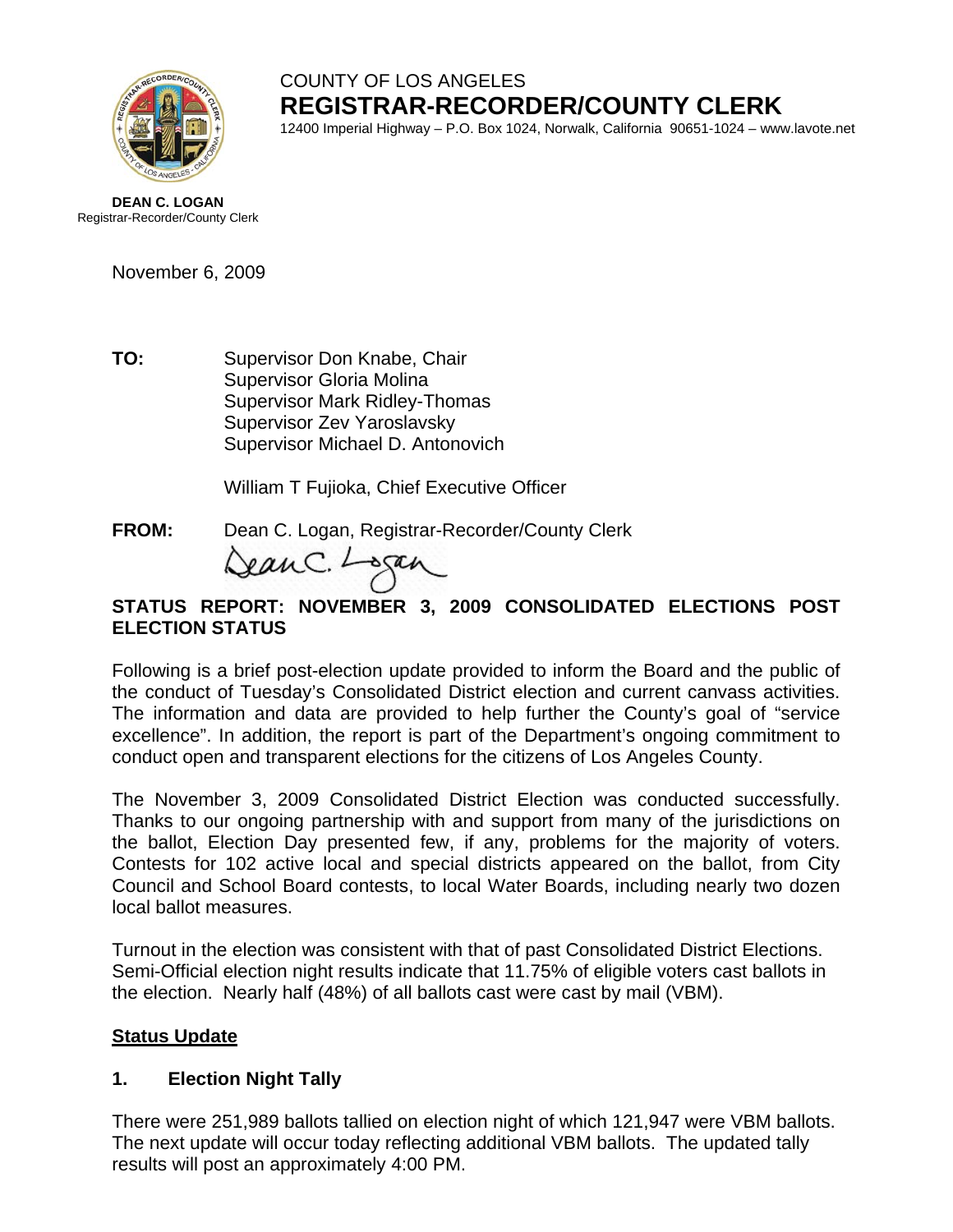

# COUNTY OF LOS ANGELES **REGISTRAR-RECORDER/COUNTY CLERK**

12400 Imperial Highway – P.O. Box 1024, Norwalk, California 90651-1024 – www.lavote.net

**DEAN C. LOGAN** Registrar-Recorder/County Clerk

November 6, 2009

**TO:** Supervisor Don Knabe, Chair Supervisor Gloria Molina Supervisor Mark Ridley-Thomas Supervisor Zev Yaroslavsky Supervisor Michael D. Antonovich

William T Fujioka, Chief Executive Officer

**FROM:** Dean C. Logan, Registrar-Recorder/County Clerk

eanC. Logan

#### **STATUS REPORT: NOVEMBER 3, 2009 CONSOLIDATED ELECTIONS POST ELECTION STATUS**

 Following is a brief post-election update provided to inform the Board and the public of the conduct of Tuesday's Consolidated District election and current canvass activities. The information and data are provided to help further the County's goal of "service excellence". In addition, the report is part of the Department's ongoing commitment to conduct open and transparent elections for the citizens of Los Angeles County.

The November 3, 2009 Consolidated District Election was conducted successfully. Thanks to our ongoing partnership with and support from many of the jurisdictions on the ballot, Election Day presented few, if any, problems for the majority of voters. Contests for 102 active local and special districts appeared on the ballot, from City Council and School Board contests, to local Water Boards, including nearly two dozen local ballot measures.

Turnout in the election was consistent with that of past Consolidated District Elections. Semi-Official election night results indicate that 11.75% of eligible voters cast ballots in the election. Nearly half (48%) of all ballots cast were cast by mail (VBM).

#### **Status Update**

### **1. Election Night Tally**

There were 251,989 ballots tallied on election night of which 121,947 were VBM ballots. The next update will occur today reflecting additional VBM ballots. The updated tally results will post an approximately 4:00 PM.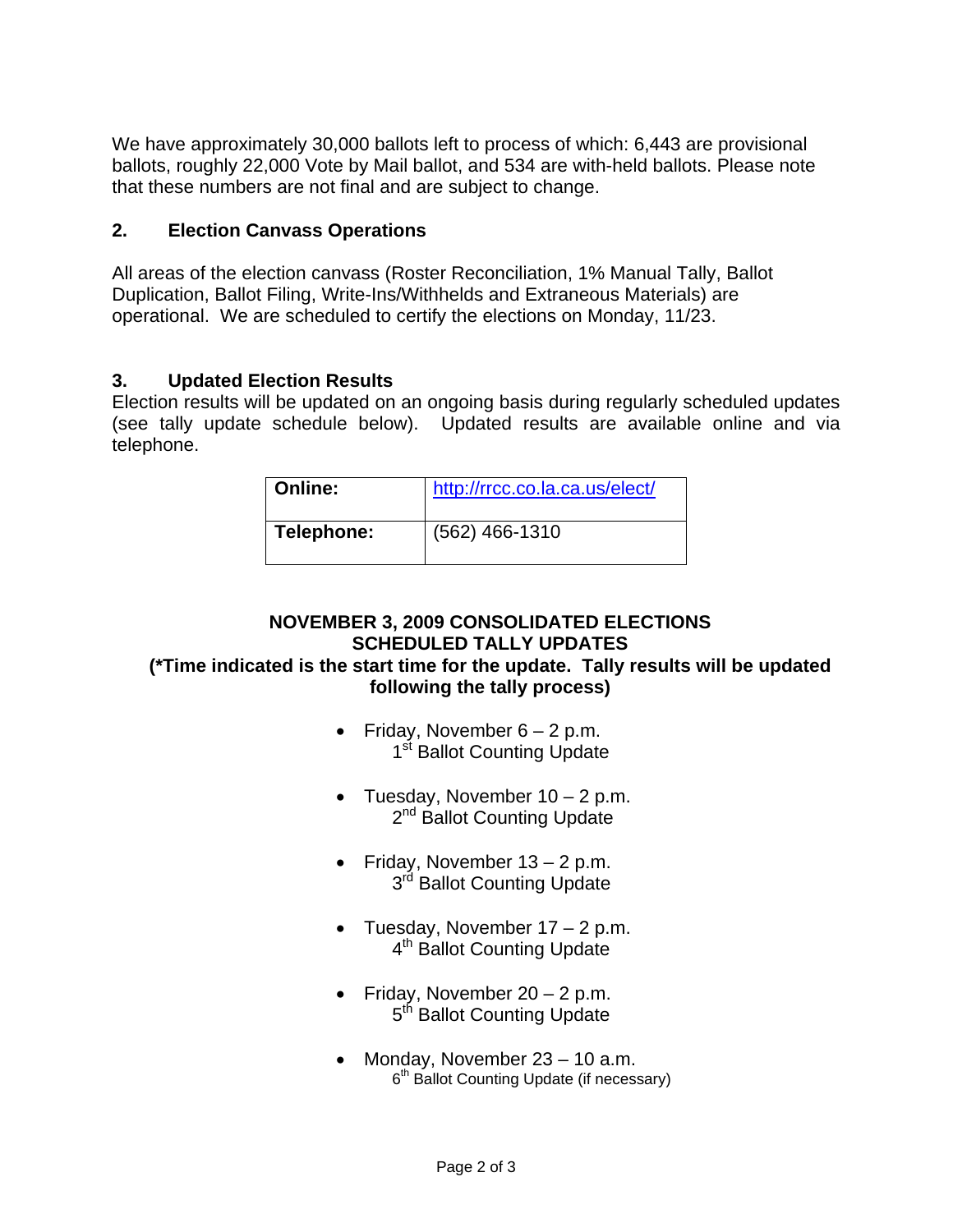We have approximately 30,000 ballots left to process of which: 6,443 are provisional ballots, roughly 22,000 Vote by Mail ballot, and 534 are with-held ballots. Please note that these numbers are not final and are subject to change.

#### **2. Election Canvass Operations**

All areas of the election canvass (Roster Reconciliation, 1% Manual Tally, Ballot Duplication, Ballot Filing, Write-Ins/Withhelds and Extraneous Materials) are operational. We are scheduled to certify the elections on Monday, 11/23.

#### **3. Updated Election Results**

Election results will be updated on an ongoing basis during regularly scheduled updates (see tally update schedule below). Updated results are available online and via telephone.

| <b>Online:</b> | http://rrcc.co.la.ca.us/elect/ |
|----------------|--------------------------------|
| Telephone:     | $(562)$ 466-1310               |

## **NOVEMBER 3, 2009 CONSOLIDATED ELECTIONS SCHEDULED TALLY UPDATES**

### **(\*Time indicated is the start time for the update. Tally results will be updated following the tally process)**

- Friday, November  $6 2$  p.m. 1<sup>st</sup> Ballot Counting Update
- Tuesday, November  $10 2$  p.m. 2<sup>nd</sup> Ballot Counting Update
- Friday, November 13 2 p.m. 3<sup>rd</sup> Ballot Counting Update
- Tuesday, November  $17 2$  p.m. 4<sup>th</sup> Ballot Counting Update
- Friday, November  $20 2$  p.m. 5<sup>th</sup> Ballot Counting Update
- Monday, November 23 10 a.m. 6<sup>th</sup> Ballot Counting Update (if necessary)